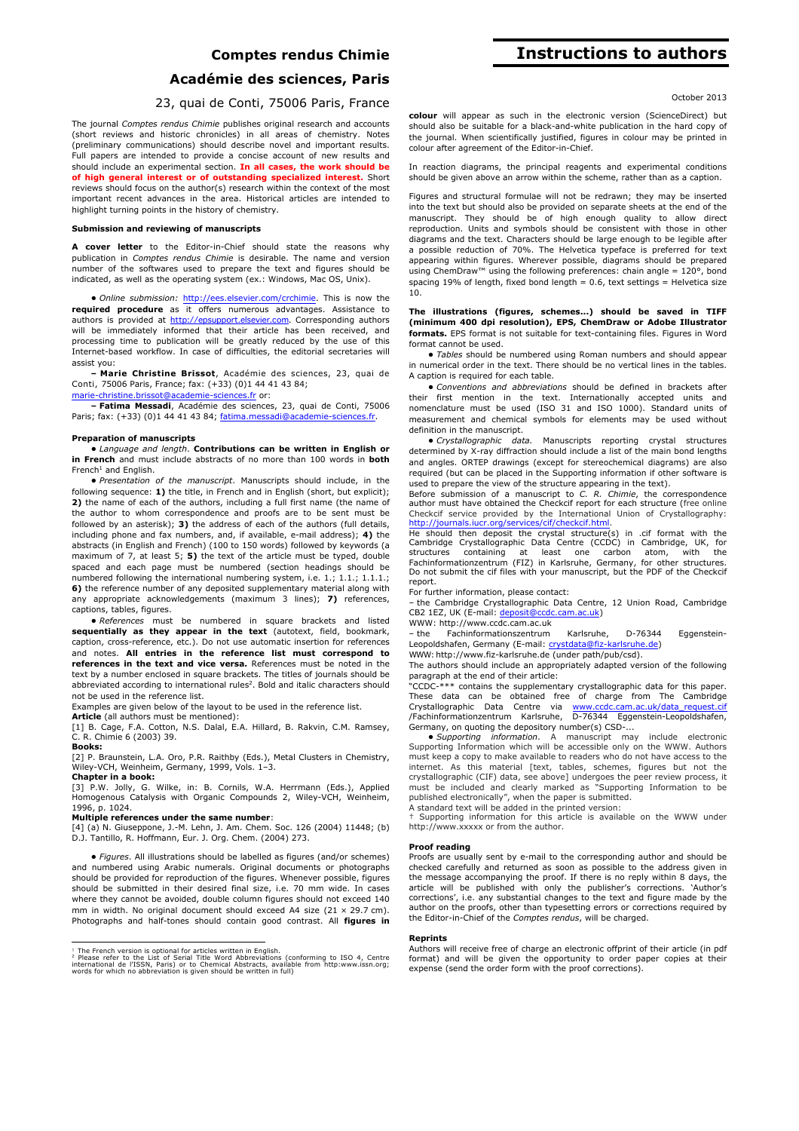## **Comptes rendus Chimie**

## **Académie des sciences, Paris**

## 23, quai de Conti, 75006 Paris, France

The journal *Comptes rendus Chimie* publishes original research and accounts (short reviews and historic chronicles) in all areas of chemistry. Notes (preliminary communications) should describe novel and important results. Full papers are intended to provide a concise account of new results and should include an experimental section. **In all cases, the work should be of high general interest or of outstanding specialized interest.** Short reviews should focus on the author(s) research within the context of the most important recent advances in the area. Historical articles are intended to highlight turning points in the history of chemistry.

### **Submission and reviewing of manuscripts**

**A cover letter** to the Editor-in-Chief should state the reasons why publication in *Comptes rendus Chimie* is desirable. The name and version number of the softwares used to prepare the text and figures should be indicated, as well as the operating system (ex.: Windows, Mac OS, Unix).

**•** *Online submission:* http://ees.elsevier.com/crchimie. This is now the **required procedure** as it offers numerous advantages. Assistance to authors is provided at http://epsupport.elsevier.com. Corresponding authors will be immediately informed that their article has been received, and processing time to publication will be greatly reduced by the use of this Internet-based workflow. In case of difficulties, the editorial secretaries will assist you:

**– Marie Christine Brissot**, Académie des sciences, 23, quai de Conti, 75006 Paris, France; fax: (+33) (0)1 44 41 43 84;

marie-christine.brissot@academie-sciences.fr or:

**– Fatima Messadi**, Académie des sciences, 23, quai de Conti, 75006 Paris; fax: (+33) (0)1 44 41 43 84; fatima.messadi@academie-sciences.fr.

### **Preparation of manuscripts**

**•** *Language and length*. **Contributions can be written in English or in French** and must include abstracts of no more than 100 words in **both** French<sup>1</sup> and English.

**•** *Presentation of the manuscript*. Manuscripts should include, in the following sequence: **1)** the title, in French and in English (short, but explicit); **2)** the name of each of the authors, including a full first name (the name of the author to whom correspondence and proofs are to be sent must be followed by an asterisk); **3)** the address of each of the authors (full details, including phone and fax numbers, and, if available, e-mail address); **4)** the abstracts (in English and French) (100 to 150 words) followed by keywords (a maximum of 7, at least 5; **5)** the text of the article must be typed, double spaced and each page must be numbered (section headings should be numbered following the international numbering system, i.e. 1.; 1.1.; 1.1.1.; **6)** the reference number of any deposited supplementary material along with any appropriate acknowledgements (maximum 3 lines); **7)** references, captions, tables, figures.

**•** *References* must be numbered in square brackets and listed **sequentially as they appear in the text** (autotext, field, bookmark, caption, cross-reference, etc.). Do not use automatic insertion for references and notes. **All entries in the reference list must correspond to references in the text and vice versa.** References must be noted in the text by a number enclosed in square brackets. The titles of journals should be abbreviated according to international rules<sup>2</sup>. Bold and italic characters should not be used in the reference list.

Examples are given below of the layout to be used in the reference list. **Article** (all authors must be mentioned):

[1] B. Cage, F.A. Cotton, N.S. Dalal, E.A. Hillard, B. Rakvin, C.M. Ramsey, C. R. Chimie 6 (2003) 39.

#### **Books:**

[2] P. Braunstein, L.A. Oro, P.R. Raithby (Eds.), Metal Clusters in Chemistry, Wiley-VCH, Weinheim, Germany, 1999, Vols. 1–3.

### **Chapter in a book:**

[3] P.W. Jolly, G. Wilke, in: B. Cornils, W.A. Herrmann (Eds.), Applied Homogenous Catalysis with Organic Compounds 2, Wiley-VCH, Weinheim, 1996, p. 1024.

## **Multiple references under the same number**:

[4] (a) N. Giuseppone, J.-M. Lehn, J. Am. Chem. Soc. 126 (2004) 11448; (b) D.J. Tantillo, R. Hoffmann, Eur. J. Org. Chem. (2004) 273.

**•** *Figures*. All illustrations should be labelled as figures (and/or schemes) and numbered using Arabic numerals. Original documents or photographs should be provided for reproduction of the figures. Whenever possible, figures should be submitted in their desired final size, i.e. 70 mm wide. In cases where they cannot be avoided, double column figures should not exceed 140 mm in width. No original document should exceed A4 size  $(21 \times 29.7 \text{ cm})$ . Photographs and half-tones should contain good contrast. All **figures in** 

# **Instructions to authors**

### October 2013

**colour** will appear as such in the electronic version (ScienceDirect) but should also be suitable for a black-and-white publication in the hard copy of the journal. When scientifically justified, figures in colour may be printed in colour after agreement of the Editor-in-Chief.

In reaction diagrams, the principal reagents and experimental conditions should be given above an arrow within the scheme, rather than as a caption.

Figures and structural formulae will not be redrawn; they may be inserted into the text but should also be provided on separate sheets at the end of the manuscript. They should be of high enough quality to allow direct reproduction. Units and symbols should be consistent with those in other diagrams and the text. Characters should be large enough to be legible after a possible reduction of 70%. The Helvetica typeface is preferred for text appearing within figures. Wherever possible, diagrams should be prepared using ChemDraw™ using the following preferences: chain angle = 120°, bond spacing 19% of length, fixed bond length =  $0.6$ , text settings = Helvetica size 10.

### **The illustrations (figures, schemes...) should be saved in TIFF (minimum 400 dpi resolution), EPS, ChemDraw or Adobe Illustrator formats.** EPS format is not suitable for text-containing files. Figures in Word format cannot be used.

**•** *Tables* should be numbered using Roman numbers and should appear in numerical order in the text. There should be no vertical lines in the tables. A caption is required for each table.

**•** *Conventions and abbreviations* should be defined in brackets after their first mention in the text. Internationally accepted units and nomenclature must be used (ISO 31 and ISO 1000). Standard units of measurement and chemical symbols for elements may be used without definition in the manuscript.

**•** *Crystallographic data.* Manuscripts reporting crystal structures determined by X-ray diffraction should include a list of the main bond lengths and angles. ORTEP drawings (except for stereochemical diagrams) are also required (but can be placed in the Supporting information if other software is used to prepare the view of the structure appearing in the text).

Before submission of a manuscript to *C. R. Chimie*, the correspondence author must have obtained the Checkcif report for each structure (free online<br>Checkcif service provided by the International Union of Crystallography:<br>http://journals.iucr.org/services/cif/checkcif.html.<br>He should then dep

Cambridge Crystallographic Data Centre (CCDC) in Cambridge, UK, for structures containing at least one carbon atom, with the<br>Fachinformationzentrum (FIZ) in Karlsruhe, Germany, for other structures.<br>Do not submit the cif files with your manuscript, but the PDF of the Checkcif report.

For further information, please contact:

– the Cambridge Crystallographic Data Centre, 12 Union Road, Cambridge CB2 1EZ, UK (E-mail: deposit@ccdc.cam.ac.uk)

## WWW: http://www.ccdc.cam.ac.uk

– the Fachinformationszentrum Karlsruhe, D-76344 Eggenstein-Leopoldshafen, Germany (E-mail: crystdata@fiz-karlsruhe.de) WWW: http://www.fiz-karlsruhe.de (under path/pub/csd).

The authors should include an appropriately adapted version of the following

paragraph at the end of their article: "CCDC-\*\*\* contains the supplementary crystallographic data for this paper. These data can be obtained free of charge from The Cambridge<br>Crystallographic Data Centre via www.ccdc.cam.ac.uk/data\_request.cif<br>/Fachinformationzentrum Karlsruhe, D-76344 Eggenstein-Leopoldshafen, Germany, on quoting the depository number(s) CSD-...

**•** *Supporting information*. A manuscript may include electronic Supporting Information which will be accessible only on the WWW. Authors must keep a copy to make available to readers who do not have access to the internet. As this material [text, tables, schemes, figures but not the crystallographic (CIF) data, see above] undergoes the peer review process, it must be included and clearly marked as "Supporting Information to be published electronically", when the paper is submitted. A standard text will be added in the printed version:

† Supporting information for this article is available on the WWW under http://www.xxxxx or from the author.

## **Proof reading**

Proofs are usually sent by e-mail to the corresponding author and should be checked carefully and returned as soon as possible to the address given in the message accompanying the proof. If there is no reply within 8 days, the article will be published with only the publisher's corrections. 'Author's corrections', i.e. any substantial changes to the text and figure made by the author on the proofs, other than typesetting errors or corrections required by the Editor-in-Chief of the *Comptes rendus*, will be charged.

### **Reprints**

Authors will receive free of charge an electronic offprint of their article (in pdf format) and will be given the opportunity to order paper copies at their expense (send the order form with the proof corrections).

<sup>&</sup>lt;sup>1</sup> The French version is optional for articles written in English.<br><sup>2</sup> Please refer to the List of Serial Title Word Abbreviations (conforming to ISO 4, Centre<br>international de l'ISSN, Paris) or to Chemical Abstracts, ava